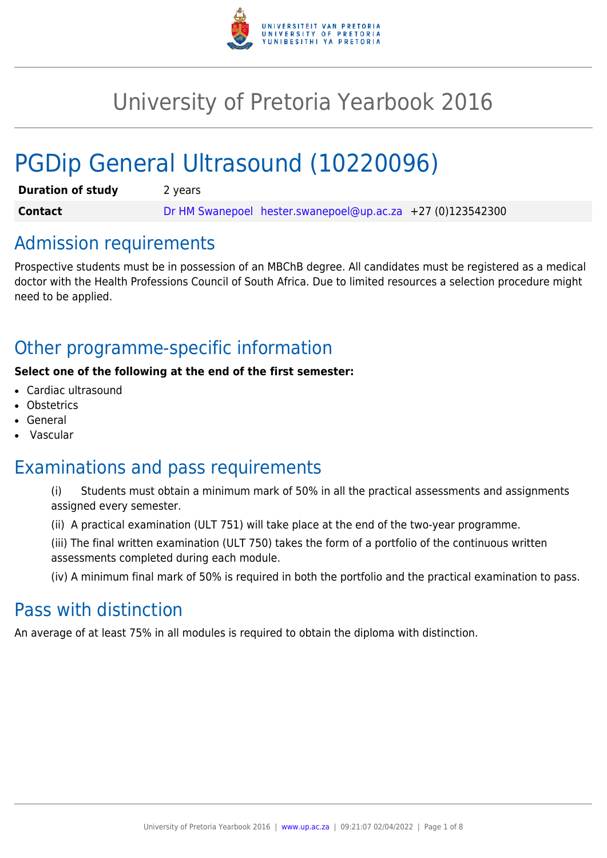

# University of Pretoria Yearbook 2016

# PGDip General Ultrasound (10220096)

| <b>Duration of study</b> | 2 years |                                                              |  |
|--------------------------|---------|--------------------------------------------------------------|--|
| <b>Contact</b>           |         | Dr HM Swanepoel hester.swanepoel@up.ac.za $+27$ (0)123542300 |  |

## Admission requirements

Prospective students must be in possession of an MBChB degree. All candidates must be registered as a medical doctor with the Health Professions Council of South Africa. Due to limited resources a selection procedure might need to be applied.

# Other programme-specific information

#### **Select one of the following at the end of the first semester:**

- Cardiac ultrasound
- **Obstetrics**
- **General**
- Vascular

# Examinations and pass requirements

- (i) Students must obtain a minimum mark of 50% in all the practical assessments and assignments assigned every semester.
- (ii) A practical examination (ULT 751) will take place at the end of the two-year programme.
- (iii) The final written examination (ULT 750) takes the form of a portfolio of the continuous written assessments completed during each module.

(iv) A minimum final mark of 50% is required in both the portfolio and the practical examination to pass.

# Pass with distinction

An average of at least 75% in all modules is required to obtain the diploma with distinction.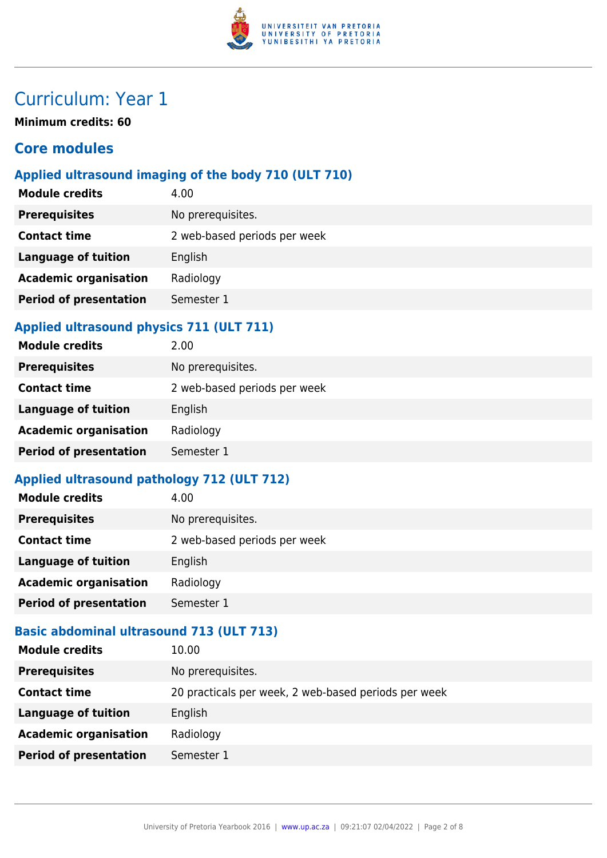

# Curriculum: Year 1

**Minimum credits: 60**

### **Core modules**

### **Applied ultrasound imaging of the body 710 (ULT 710)**

| <b>Module credits</b>         | 4.00                         |
|-------------------------------|------------------------------|
| <b>Prerequisites</b>          | No prerequisites.            |
| <b>Contact time</b>           | 2 web-based periods per week |
| <b>Language of tuition</b>    | English                      |
| <b>Academic organisation</b>  | Radiology                    |
| <b>Period of presentation</b> | Semester 1                   |
|                               |                              |

#### **Applied ultrasound physics 711 (ULT 711)**

| <b>Module credits</b>         | 2.00                         |
|-------------------------------|------------------------------|
| <b>Prerequisites</b>          | No prerequisites.            |
| <b>Contact time</b>           | 2 web-based periods per week |
| <b>Language of tuition</b>    | English                      |
| <b>Academic organisation</b>  | Radiology                    |
| <b>Period of presentation</b> | Semester 1                   |
|                               |                              |

### **Applied ultrasound pathology 712 (ULT 712)**

| <b>Module credits</b>         | 4.00                         |
|-------------------------------|------------------------------|
| <b>Prerequisites</b>          | No prerequisites.            |
| <b>Contact time</b>           | 2 web-based periods per week |
| <b>Language of tuition</b>    | English                      |
| <b>Academic organisation</b>  | Radiology                    |
| <b>Period of presentation</b> | Semester 1                   |

### **Basic abdominal ultrasound 713 (ULT 713)**

| <b>Module credits</b>         | 10.00                                                |
|-------------------------------|------------------------------------------------------|
| <b>Prerequisites</b>          | No prerequisites.                                    |
| <b>Contact time</b>           | 20 practicals per week, 2 web-based periods per week |
| Language of tuition           | English                                              |
| <b>Academic organisation</b>  | Radiology                                            |
| <b>Period of presentation</b> | Semester 1                                           |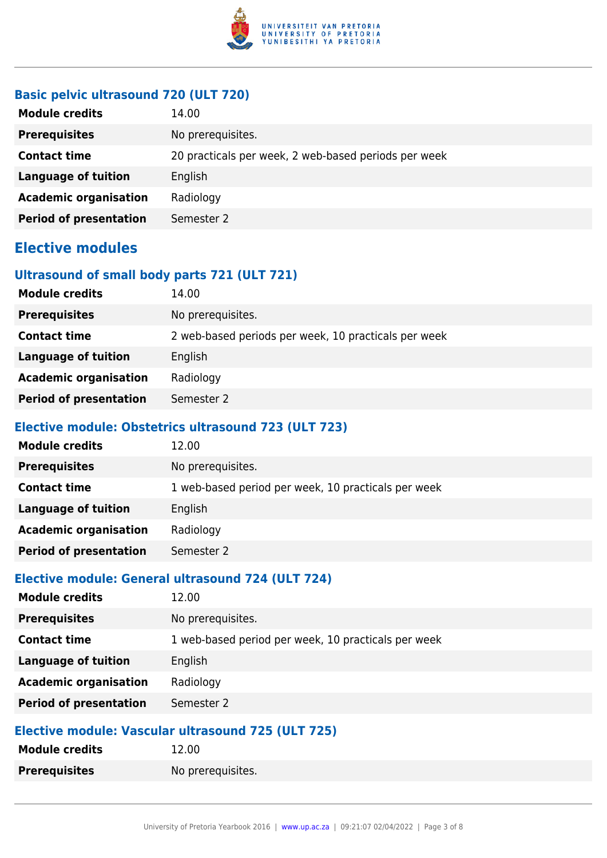

#### **Basic pelvic ultrasound 720 (ULT 720)**

| <b>Module credits</b>         | 14.00                                                |
|-------------------------------|------------------------------------------------------|
| <b>Prerequisites</b>          | No prerequisites.                                    |
| <b>Contact time</b>           | 20 practicals per week, 2 web-based periods per week |
| Language of tuition           | English                                              |
| <b>Academic organisation</b>  | Radiology                                            |
| <b>Period of presentation</b> | Semester 2                                           |

## **Elective modules**

#### **Ultrasound of small body parts 721 (ULT 721)**

| <b>Module credits</b>         | 14.00                                                |
|-------------------------------|------------------------------------------------------|
| <b>Prerequisites</b>          | No prerequisites.                                    |
| <b>Contact time</b>           | 2 web-based periods per week, 10 practicals per week |
| Language of tuition           | English                                              |
| <b>Academic organisation</b>  | Radiology                                            |
| <b>Period of presentation</b> | Semester 2                                           |

#### **Elective module: Obstetrics ultrasound 723 (ULT 723)**

| <b>Module credits</b>         | 12.00                                               |
|-------------------------------|-----------------------------------------------------|
| <b>Prerequisites</b>          | No prerequisites.                                   |
| <b>Contact time</b>           | 1 web-based period per week, 10 practicals per week |
| <b>Language of tuition</b>    | English                                             |
| <b>Academic organisation</b>  | Radiology                                           |
| <b>Period of presentation</b> | Semester 2                                          |

#### **Elective module: General ultrasound 724 (ULT 724)**

| <b>Module credits</b>         | 12.00                                               |
|-------------------------------|-----------------------------------------------------|
| <b>Prerequisites</b>          | No prerequisites.                                   |
| <b>Contact time</b>           | 1 web-based period per week, 10 practicals per week |
| <b>Language of tuition</b>    | English                                             |
| <b>Academic organisation</b>  | Radiology                                           |
| <b>Period of presentation</b> | Semester 2                                          |

#### **Elective module: Vascular ultrasound 725 (ULT 725)**

| <b>Module credits</b> | 12.00             |
|-----------------------|-------------------|
| <b>Prerequisites</b>  | No prerequisites. |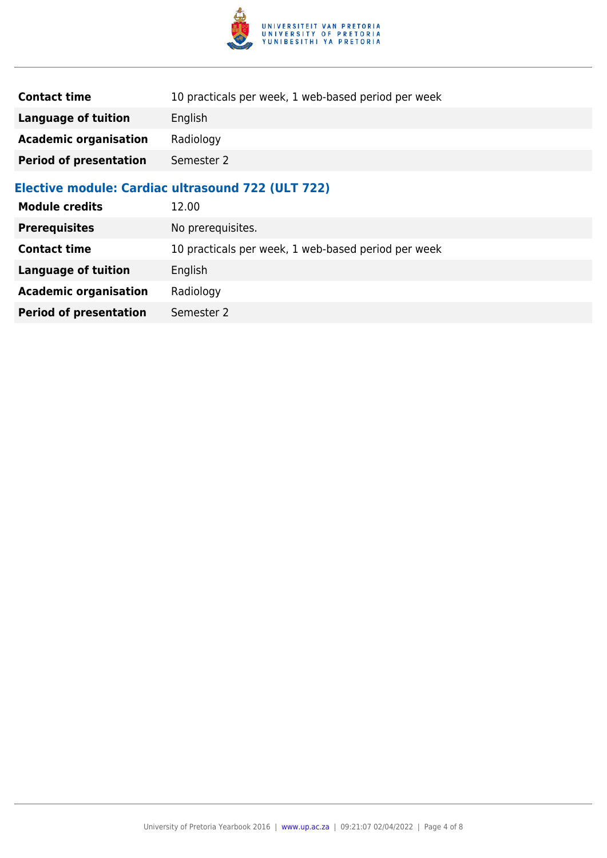

| <b>Contact time</b>           | 10 practicals per week, 1 web-based period per week |
|-------------------------------|-----------------------------------------------------|
| <b>Language of tuition</b>    | English                                             |
| <b>Academic organisation</b>  | Radiology                                           |
| <b>Period of presentation</b> | Semester 2                                          |
|                               | Elective module: Cardiac ultrasound 722 (ULT 722)   |
| <b>Module credits</b>         | 12.00                                               |
| <b>Prerequisites</b>          | No prerequisites.                                   |
| <b>Contact time</b>           | 10 practicals per week, 1 web-based period per week |
| <b>Language of tuition</b>    | English                                             |
| <b>Academic organisation</b>  | Radiology                                           |
| <b>Period of presentation</b> | Semester 2                                          |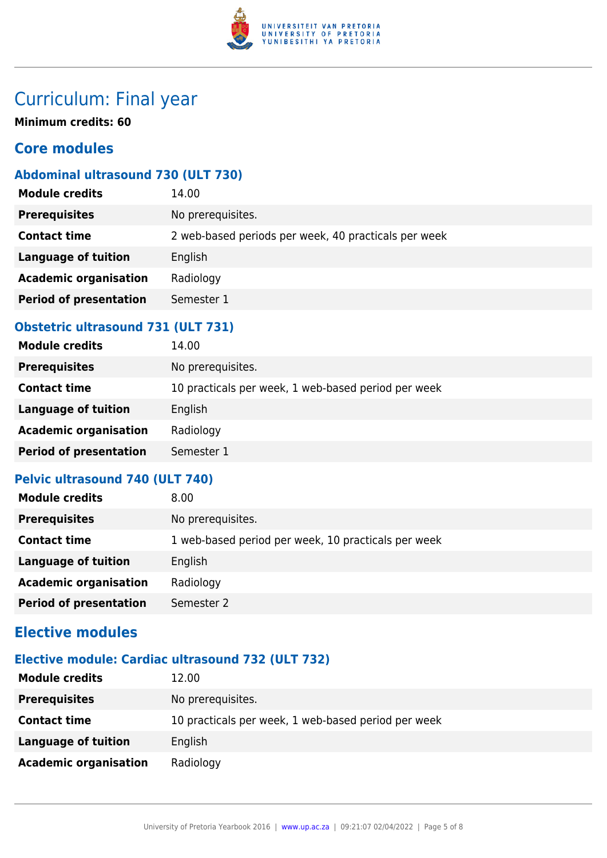

# Curriculum: Final year

**Minimum credits: 60**

### **Core modules**

#### **Abdominal ultrasound 730 (ULT 730)**

| <b>Module credits</b>         | 14.00                                                |
|-------------------------------|------------------------------------------------------|
| <b>Prerequisites</b>          | No prerequisites.                                    |
| <b>Contact time</b>           | 2 web-based periods per week, 40 practicals per week |
| <b>Language of tuition</b>    | English                                              |
| <b>Academic organisation</b>  | Radiology                                            |
| <b>Period of presentation</b> | Semester 1                                           |
|                               |                                                      |

### **Obstetric ultrasound 731 (ULT 731)**

| <b>Module credits</b>         | 14.00                                               |
|-------------------------------|-----------------------------------------------------|
| <b>Prerequisites</b>          | No prerequisites.                                   |
| <b>Contact time</b>           | 10 practicals per week, 1 web-based period per week |
| <b>Language of tuition</b>    | English                                             |
| <b>Academic organisation</b>  | Radiology                                           |
| <b>Period of presentation</b> | Semester 1                                          |
|                               |                                                     |

#### **Pelvic ultrasound 740 (ULT 740)**

| <b>Module credits</b>         | 8.00                                                |
|-------------------------------|-----------------------------------------------------|
| <b>Prerequisites</b>          | No prerequisites.                                   |
| <b>Contact time</b>           | 1 web-based period per week, 10 practicals per week |
| <b>Language of tuition</b>    | English                                             |
| <b>Academic organisation</b>  | Radiology                                           |
| <b>Period of presentation</b> | Semester 2                                          |

## **Elective modules**

#### **Elective module: Cardiac ultrasound 732 (ULT 732)**

| <b>Module credits</b>        | 12.00                                               |
|------------------------------|-----------------------------------------------------|
| <b>Prerequisites</b>         | No prerequisites.                                   |
| <b>Contact time</b>          | 10 practicals per week, 1 web-based period per week |
| Language of tuition          | English                                             |
| <b>Academic organisation</b> | Radiology                                           |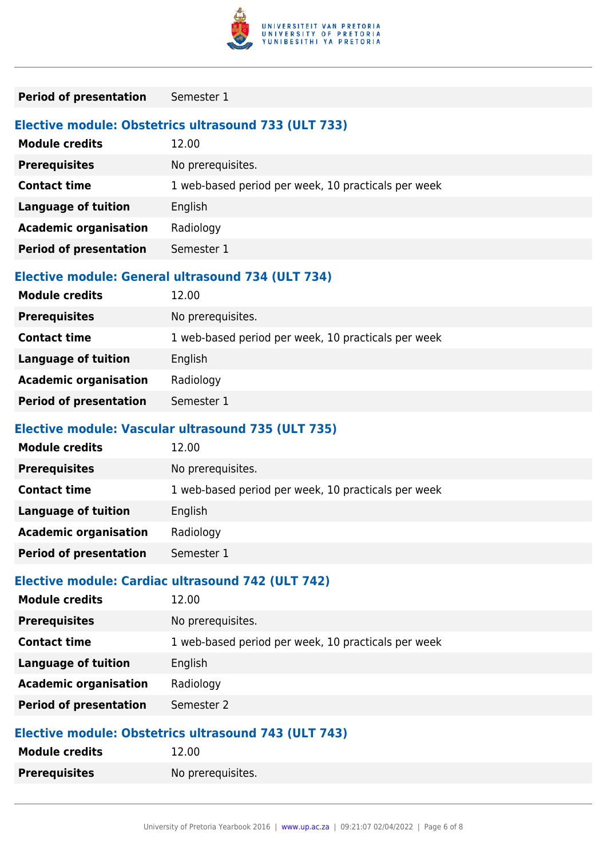

| <b>Period of presentation</b>                     | Semester 1                                                    |  |
|---------------------------------------------------|---------------------------------------------------------------|--|
| <b>Module credits</b>                             | Elective module: Obstetrics ultrasound 733 (ULT 733)<br>12.00 |  |
| <b>Prerequisites</b>                              | No prerequisites.                                             |  |
| <b>Contact time</b>                               | 1 web-based period per week, 10 practicals per week           |  |
| <b>Language of tuition</b>                        | English                                                       |  |
| <b>Academic organisation</b>                      | Radiology                                                     |  |
| <b>Period of presentation</b>                     | Semester 1                                                    |  |
| <b>Module credits</b>                             | Elective module: General ultrasound 734 (ULT 734)<br>12.00    |  |
| <b>Prerequisites</b>                              | No prerequisites.                                             |  |
| <b>Contact time</b>                               | 1 web-based period per week, 10 practicals per week           |  |
| <b>Language of tuition</b>                        | English                                                       |  |
| <b>Academic organisation</b>                      | Radiology                                                     |  |
| <b>Period of presentation</b>                     | Semester 1                                                    |  |
|                                                   | Elective module: Vascular ultrasound 735 (ULT 735)            |  |
| <b>Module credits</b>                             | 12.00                                                         |  |
| <b>Prerequisites</b>                              | No prerequisites.                                             |  |
| <b>Contact time</b>                               | 1 web-based period per week, 10 practicals per week           |  |
| <b>Language of tuition</b>                        | English                                                       |  |
| <b>Academic organisation</b>                      | Radiology                                                     |  |
| <b>Period of presentation</b>                     | Semester 1                                                    |  |
| Elective module: Cardiac ultrasound 742 (ULT 742) |                                                               |  |
| <b>Module credits</b>                             | 12.00                                                         |  |
| <b>Prerequisites</b>                              | No prerequisites.                                             |  |
| <b>Contact time</b>                               | 1 web-based period per week, 10 practicals per week           |  |
| <b>Language of tuition</b>                        | English                                                       |  |
| <b>Academic organisation</b>                      | Radiology                                                     |  |

# **Elective module: Obstetrics ultrasound 743 (ULT 743)**

**Period of presentation** Semester 2

| <u>Elective illudule: Obstetrics ultrasuulid 745 (OLT 745)</u> |                   |
|----------------------------------------------------------------|-------------------|
| <b>Module credits</b>                                          | 12.00             |
| <b>Prerequisites</b>                                           | No prerequisites. |
|                                                                |                   |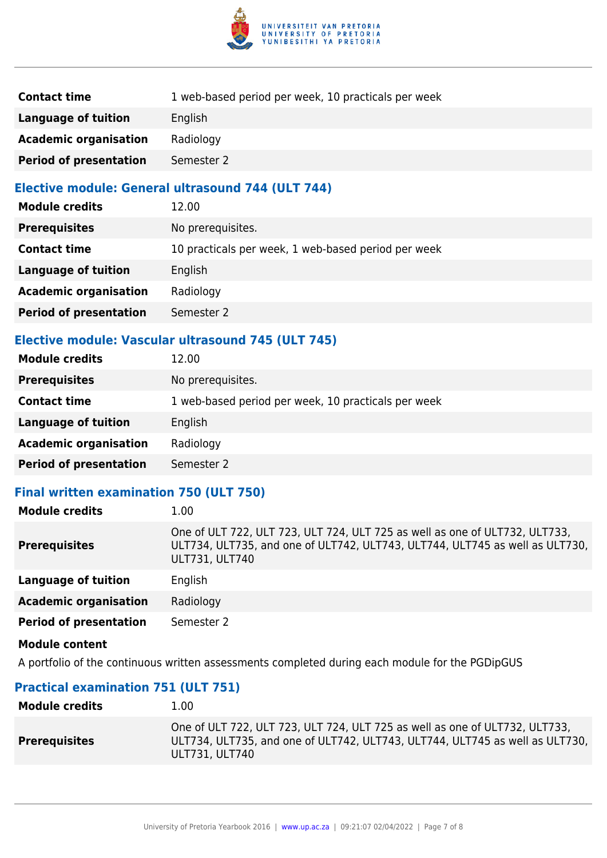

| <b>Contact time</b>           | 1 web-based period per week, 10 practicals per week |
|-------------------------------|-----------------------------------------------------|
| Language of tuition           | English                                             |
| <b>Academic organisation</b>  | Radiology                                           |
| <b>Period of presentation</b> | Semester 2                                          |

#### **Elective module: General ultrasound 744 (ULT 744)**

| <b>Module credits</b>         | 12.00                                               |
|-------------------------------|-----------------------------------------------------|
| <b>Prerequisites</b>          | No prerequisites.                                   |
| <b>Contact time</b>           | 10 practicals per week, 1 web-based period per week |
| <b>Language of tuition</b>    | English                                             |
| <b>Academic organisation</b>  | Radiology                                           |
| <b>Period of presentation</b> | Semester 2                                          |

#### **Elective module: Vascular ultrasound 745 (ULT 745)**

| <b>Module credits</b>         | 12.00                                               |
|-------------------------------|-----------------------------------------------------|
| <b>Prerequisites</b>          | No prerequisites.                                   |
| <b>Contact time</b>           | 1 web-based period per week, 10 practicals per week |
| Language of tuition           | English                                             |
| <b>Academic organisation</b>  | Radiology                                           |
| <b>Period of presentation</b> | Semester 2                                          |
|                               |                                                     |

#### **Final written examination 750 (ULT 750)**

| <b>Module credits</b>         | 1.00                                                                                                                                                                          |
|-------------------------------|-------------------------------------------------------------------------------------------------------------------------------------------------------------------------------|
| <b>Prerequisites</b>          | One of ULT 722, ULT 723, ULT 724, ULT 725 as well as one of ULT732, ULT733,<br>ULT734, ULT735, and one of ULT742, ULT743, ULT744, ULT745 as well as ULT730,<br>ULT731, ULT740 |
| <b>Language of tuition</b>    | English                                                                                                                                                                       |
| <b>Academic organisation</b>  | Radiology                                                                                                                                                                     |
| <b>Period of presentation</b> | Semester 2                                                                                                                                                                    |
| <b>Module content</b>         |                                                                                                                                                                               |

A portfolio of the continuous written assessments completed during each module for the PGDipGUS

#### **Practical examination 751 (ULT 751)**

| <b>Module credits</b> | 1.00                                                                                                                                                                          |
|-----------------------|-------------------------------------------------------------------------------------------------------------------------------------------------------------------------------|
| <b>Prerequisites</b>  | One of ULT 722, ULT 723, ULT 724, ULT 725 as well as one of ULT732, ULT733,<br>ULT734, ULT735, and one of ULT742, ULT743, ULT744, ULT745 as well as ULT730,<br>ULT731, ULT740 |